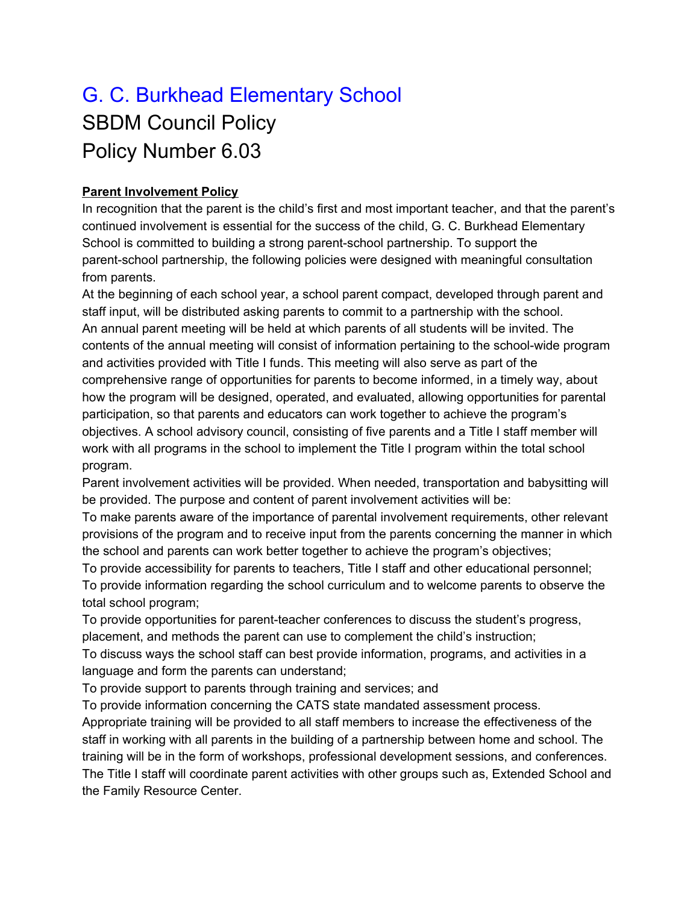## G. C. Burkhead Elementary School SBDM Council Policy Policy Number 6.03

## **Parent Involvement Policy**

In recognition that the parent is the child's first and most important teacher, and that the parent's continued involvement is essential for the success of the child, G. C. Burkhead Elementary School is committed to building a strong parent-school partnership. To support the parent-school partnership, the following policies were designed with meaningful consultation from parents.

At the beginning of each school year, a school parent compact, developed through parent and staff input, will be distributed asking parents to commit to a partnership with the school. An annual parent meeting will be held at which parents of all students will be invited. The contents of the annual meeting will consist of information pertaining to the school-wide program and activities provided with Title I funds. This meeting will also serve as part of the comprehensive range of opportunities for parents to become informed, in a timely way, about how the program will be designed, operated, and evaluated, allowing opportunities for parental participation, so that parents and educators can work together to achieve the program's objectives. A school advisory council, consisting of five parents and a Title I staff member will work with all programs in the school to implement the Title I program within the total school program.

Parent involvement activities will be provided. When needed, transportation and babysitting will be provided. The purpose and content of parent involvement activities will be:

To make parents aware of the importance of parental involvement requirements, other relevant provisions of the program and to receive input from the parents concerning the manner in which the school and parents can work better together to achieve the program's objectives;

To provide accessibility for parents to teachers, Title I staff and other educational personnel; To provide information regarding the school curriculum and to welcome parents to observe the total school program;

To provide opportunities for parent-teacher conferences to discuss the student's progress, placement, and methods the parent can use to complement the child's instruction;

To discuss ways the school staff can best provide information, programs, and activities in a language and form the parents can understand;

To provide support to parents through training and services; and

To provide information concerning the CATS state mandated assessment process. Appropriate training will be provided to all staff members to increase the effectiveness of the staff in working with all parents in the building of a partnership between home and school. The training will be in the form of workshops, professional development sessions, and conferences. The Title I staff will coordinate parent activities with other groups such as, Extended School and the Family Resource Center.